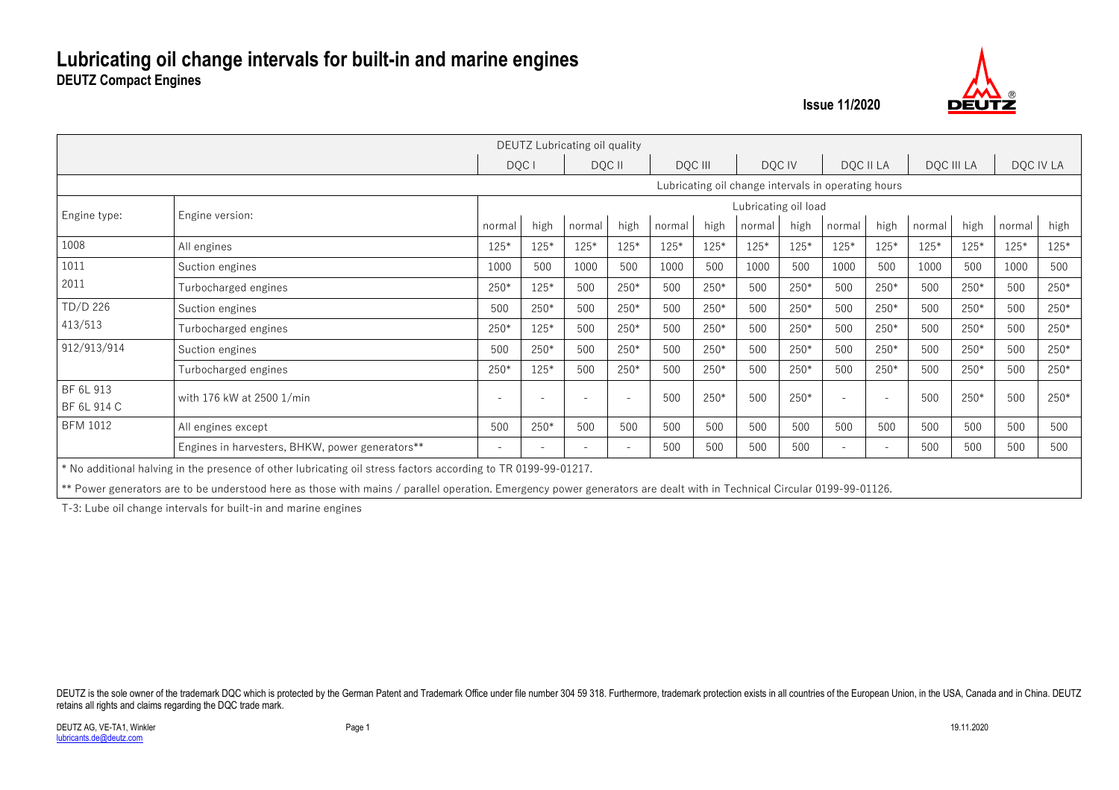

|                          |                                                                                                                                                                                                                                                                                          |                          |        | DEUTZ Lubricating oil quality |      |         |        |                                                     |      |        |           |        |            |        |           |
|--------------------------|------------------------------------------------------------------------------------------------------------------------------------------------------------------------------------------------------------------------------------------------------------------------------------------|--------------------------|--------|-------------------------------|------|---------|--------|-----------------------------------------------------|------|--------|-----------|--------|------------|--------|-----------|
|                          |                                                                                                                                                                                                                                                                                          |                          | DQC I  | DOC II                        |      | DOC III |        | DOC IV                                              |      |        | DOC II LA |        | DOC III LA |        | DQC IV LA |
|                          |                                                                                                                                                                                                                                                                                          |                          |        |                               |      |         |        | Lubricating oil change intervals in operating hours |      |        |           |        |            |        |           |
| Engine type:             | Engine version:                                                                                                                                                                                                                                                                          |                          |        |                               |      |         |        | Lubricating oil load                                |      |        |           |        |            |        |           |
|                          |                                                                                                                                                                                                                                                                                          | normal                   | high   | normal                        | high | normal  | high   | normal                                              | high | normal | high      | normal | high       | normal | high      |
| 1008                     | All engines                                                                                                                                                                                                                                                                              | $125*$                   | $125*$ | $125*$                        | 125* | $125*$  | $125*$ | $125*$                                              | 125* | $125*$ | 125*      | $125*$ | 125*       | $125*$ | $125*$    |
| 1011                     | Suction engines                                                                                                                                                                                                                                                                          | 1000                     | 500    | 1000                          | 500  | 1000    | 500    | 1000                                                | 500  | 1000   | 500       | 1000   | 500        | 1000   | 500       |
| 2011                     | Turbocharged engines                                                                                                                                                                                                                                                                     | 250*                     | 125*   | 500                           | 250* | 500     | 250*   | 500                                                 | 250* | 500    | $250*$    | 500    | 250*       | 500    | $250*$    |
| TD/D 226                 | Suction engines                                                                                                                                                                                                                                                                          | 500                      | $250*$ | 500                           | 250* | 500     | $250*$ | 500                                                 | 250* | 500    | 250*      | 500    | $250*$     | 500    | $250*$    |
| 413/513                  | Turbocharged engines                                                                                                                                                                                                                                                                     | 250*                     | 125*   | 500                           | 250* | 500     | 250*   | 500                                                 | 250* | 500    | 250*      | 500    | 250*       | 500    | 250*      |
| 912/913/914              | Suction engines                                                                                                                                                                                                                                                                          | 500                      | $250*$ | 500                           | 250* | 500     | 250*   | 500                                                 | 250* | 500    | $250*$    | 500    | 250*       | 500    | $250*$    |
|                          | Turbocharged engines                                                                                                                                                                                                                                                                     | 250*                     | 125*   | 500                           | 250* | 500     | 250*   | 500                                                 | 250* | 500    | 250*      | 500    | 250*       | 500    | 250*      |
| BF 6L 913<br>BF 6L 914 C | with 176 kW at 2500 1/min                                                                                                                                                                                                                                                                | $\overline{\phantom{a}}$ |        | $\overline{\phantom{a}}$      |      | 500     | 250*   | 500                                                 | 250* |        |           | 500    | 250*       | 500    | $250*$    |
| <b>BFM 1012</b>          | All engines except                                                                                                                                                                                                                                                                       | 500                      | 250*   | 500                           | 500  | 500     | 500    | 500                                                 | 500  | 500    | 500       | 500    | 500        | 500    | 500       |
|                          | Engines in harvesters, BHKW, power generators**                                                                                                                                                                                                                                          | $\overline{\phantom{a}}$ |        |                               |      | 500     | 500    | 500                                                 | 500  |        |           | 500    | 500        | 500    | 500       |
|                          | * No additional halving in the presence of other lubricating oil stress factors according to TR 0199-99-01217.<br>** Power generators are to be understood here as those with mains / parallel operation. Emergency power generators are dealt with in Technical Circular 0199-99-01126. |                          |        |                               |      |         |        |                                                     |      |        |           |        |            |        |           |

T-3: Lube oil change intervals for built-in and marine engines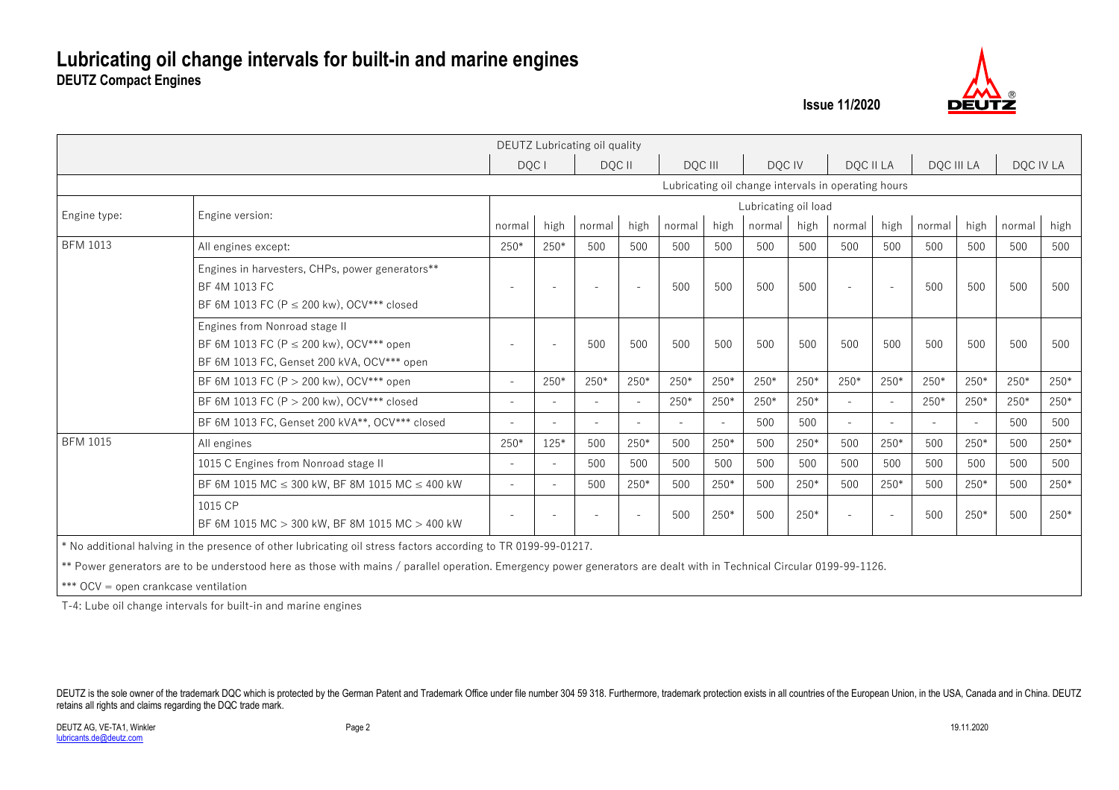

|                 |                                                                                                                             |                          |                          | DEUTZ Lubricating oil quality |        |         |        |                                                     |        |                          |                          |            |        |           |        |
|-----------------|-----------------------------------------------------------------------------------------------------------------------------|--------------------------|--------------------------|-------------------------------|--------|---------|--------|-----------------------------------------------------|--------|--------------------------|--------------------------|------------|--------|-----------|--------|
|                 |                                                                                                                             | DQC I                    |                          | DQC II                        |        | DQC III |        | DQC IV                                              |        | DQC II LA                |                          | DQC III LA |        | DQC IV LA |        |
|                 |                                                                                                                             |                          |                          |                               |        |         |        | Lubricating oil change intervals in operating hours |        |                          |                          |            |        |           |        |
| Engine type:    | Engine version:                                                                                                             |                          |                          |                               |        |         |        | Lubricating oil load                                |        |                          |                          |            |        |           |        |
|                 |                                                                                                                             | normal                   | high                     | normal                        | high   | normal  | high   | normal                                              | high   | normal                   | high                     | normal     | high   | normal    | high   |
| <b>BFM 1013</b> | All engines except:                                                                                                         | $250*$                   | $250*$                   | 500                           | 500    | 500     | 500    | 500                                                 | 500    | 500                      | 500                      | 500        | 500    | 500       | 500    |
|                 | Engines in harvesters, CHPs, power generators**<br>BF 4M 1013 FC<br>BF 6M 1013 FC (P $\leq$ 200 kw), OCV*** closed          | $\overline{\phantom{a}}$ | $\overline{\phantom{a}}$ | $\overline{\phantom{a}}$      |        | 500     | 500    | 500                                                 | 500    | $\overline{\phantom{a}}$ |                          | 500        | 500    | 500       | 500    |
|                 | Engines from Nonroad stage II<br>BF 6M 1013 FC (P $\leq$ 200 kw), OCV*** open<br>BF 6M 1013 FC, Genset 200 kVA, OCV*** open |                          | $\overline{\phantom{a}}$ | 500                           | 500    | 500     | 500    | 500                                                 | 500    | 500                      | 500                      | 500        | 500    | 500       | 500    |
|                 | BF 6M 1013 FC (P $>$ 200 kw), OCV*** open                                                                                   | $\sim$                   | $250*$                   | $250*$                        | $250*$ | $250*$  | $250*$ | 250*                                                | $250*$ | $250*$                   | $250*$                   | $250*$     | $250*$ | $250*$    | $250*$ |
|                 | BF 6M 1013 FC (P > 200 kw), OCV*** closed                                                                                   |                          | $\blacksquare$           | $\sim$                        |        | $250*$  | $250*$ | 250*                                                | 250*   | $\sim$                   | $\overline{\phantom{a}}$ | 250*       | 250*   | 250*      | 250*   |
|                 | BF 6M 1013 FC, Genset 200 kVA**, OCV*** closed                                                                              |                          |                          |                               |        |         |        | 500                                                 | 500    |                          |                          |            |        | 500       | 500    |
| <b>BFM 1015</b> | All engines                                                                                                                 | $250*$                   | 125*                     | 500                           | $250*$ | 500     | 250*   | 500                                                 | 250*   | 500                      | 250*                     | 500        | 250*   | 500       | 250*   |
|                 | 1015 C Engines from Nonroad stage II                                                                                        |                          | $\sim$                   | 500                           | 500    | 500     | 500    | 500                                                 | 500    | 500                      | 500                      | 500        | 500    | 500       | 500    |
|                 | BF 6M 1015 MC $\leq$ 300 kW, BF 8M 1015 MC $\leq$ 400 kW                                                                    | $\overline{\phantom{a}}$ | $\blacksquare$           | 500                           | 250*   | 500     | $250*$ | 500                                                 | 250*   | 500                      | $250*$                   | 500        | 250*   | 500       | 250*   |
|                 | 1015 CP<br>BF 6M 1015 MC > 300 kW, BF 8M 1015 MC > 400 kW                                                                   |                          | $\blacksquare$           | $\equiv$                      | $\sim$ | 500     | 250*   | 500                                                 | 250*   | $\overline{\phantom{a}}$ |                          | 500        | 250*   | 500       | 250*   |
|                 | * No additional halving in the presence of other lubricating oil stress factors according to TR 0199-99-01217.              |                          |                          |                               |        |         |        |                                                     |        |                          |                          |            |        |           |        |

\*\* Power generators are to be understood here as those with mains / parallel operation. Emergency power generators are dealt with in Technical Circular 0199-99-1126.

\*\*\* OCV = open crankcase ventilation

T-4: Lube oil change intervals for built-in and marine engines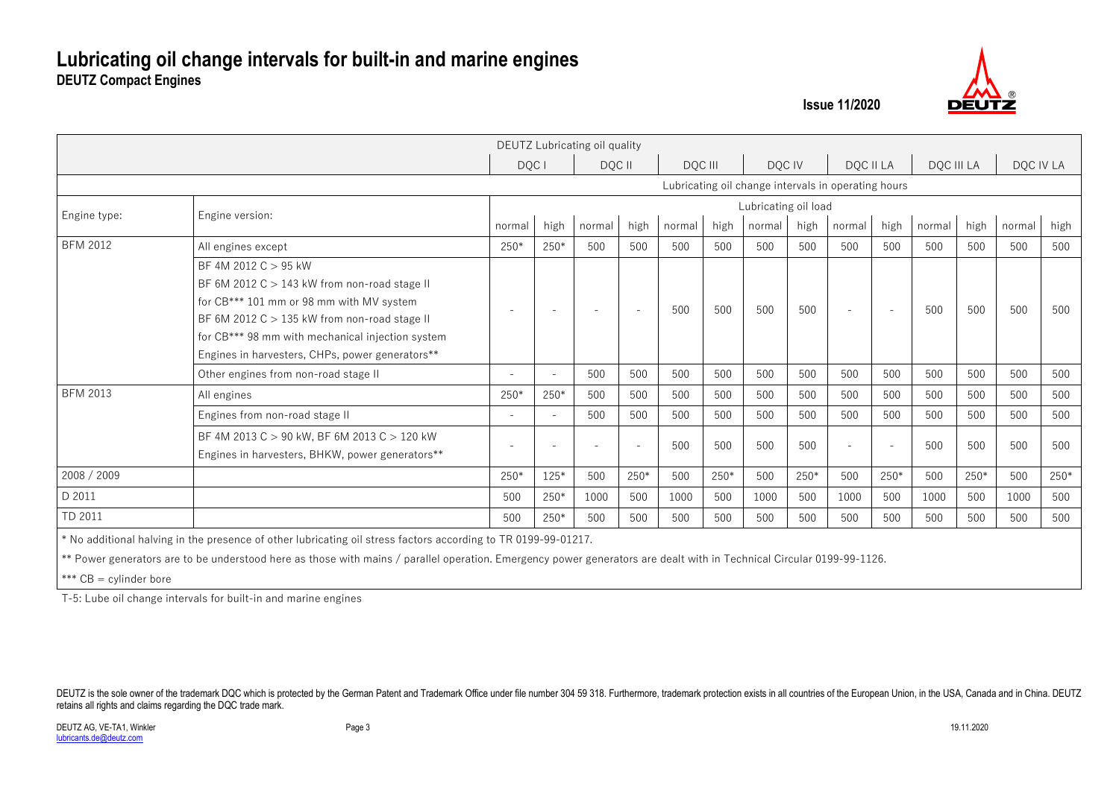

|                 |                                                                                                                                                                                                                                                                               |                          |                          | DEUTZ Lubricating oil quality |        |         |      |                                                     |      |                          |                          |        |            |           |      |
|-----------------|-------------------------------------------------------------------------------------------------------------------------------------------------------------------------------------------------------------------------------------------------------------------------------|--------------------------|--------------------------|-------------------------------|--------|---------|------|-----------------------------------------------------|------|--------------------------|--------------------------|--------|------------|-----------|------|
|                 |                                                                                                                                                                                                                                                                               | DQC I                    |                          | DQC II                        |        | DQC III |      | DOC IV                                              |      |                          | DOC II LA                |        | DOC III LA | DOC IV LA |      |
|                 |                                                                                                                                                                                                                                                                               |                          |                          |                               |        |         |      | Lubricating oil change intervals in operating hours |      |                          |                          |        |            |           |      |
| Engine type:    | Engine version:                                                                                                                                                                                                                                                               |                          |                          |                               |        |         |      | Lubricating oil load                                |      |                          |                          |        |            |           |      |
|                 |                                                                                                                                                                                                                                                                               | normal                   | high                     | normal                        | high   | normal  | high | normal                                              | high | normal                   | high                     | normal | high       | normal    | high |
| <b>BFM 2012</b> | All engines except                                                                                                                                                                                                                                                            | 250*                     | 250*                     | 500                           | 500    | 500     | 500  | 500                                                 | 500  | 500                      | 500                      | 500    | 500        | 500       | 500  |
|                 | BF 4M 2012 $C > 95$ kW<br>BF 6M 2012 $C > 143$ kW from non-road stage II<br>for CB*** 101 mm or 98 mm with MV system<br>BF 6M 2012 $C > 135$ kW from non-road stage II<br>for CB*** 98 mm with mechanical injection system<br>Engines in harvesters, CHPs, power generators** | $\overline{\phantom{0}}$ | $\overline{\phantom{a}}$ | $\overline{\phantom{a}}$      | $\sim$ | 500     | 500  | 500                                                 | 500  | $\overline{\phantom{a}}$ | $\overline{\phantom{0}}$ | 500    | 500        | 500       | 500  |
|                 | Other engines from non-road stage II                                                                                                                                                                                                                                          | $\overline{\phantom{a}}$ | $\overline{\phantom{a}}$ | 500                           | 500    | 500     | 500  | 500                                                 | 500  | 500                      | 500                      | 500    | 500        | 500       | 500  |
| <b>BFM 2013</b> | All engines                                                                                                                                                                                                                                                                   | $250*$                   | $250*$                   | 500                           | 500    | 500     | 500  | 500                                                 | 500  | 500                      | 500                      | 500    | 500        | 500       | 500  |
|                 | Engines from non-road stage II                                                                                                                                                                                                                                                | $\overline{\phantom{0}}$ | $\sim$                   | 500                           | 500    | 500     | 500  | 500                                                 | 500  | 500                      | 500                      | 500    | 500        | 500       | 500  |
|                 | BF 4M 2013 C > 90 kW, BF 6M 2013 C > 120 kW<br>Engines in harvesters, BHKW, power generators**                                                                                                                                                                                |                          | $\overline{\phantom{a}}$ | $\blacksquare$                |        | 500     | 500  | 500                                                 | 500  | $\overline{\phantom{a}}$ |                          | 500    | 500        | 500       | 500  |
| 2008 / 2009     |                                                                                                                                                                                                                                                                               | 250*                     | 125*                     | 500                           | $250*$ | 500     | 250* | 500                                                 | 250* | 500                      | 250*                     | 500    | 250*       | 500       | 250* |
| D 2011          |                                                                                                                                                                                                                                                                               | 500                      | 250*                     | 1000                          | 500    | 1000    | 500  | 1000                                                | 500  | 1000                     | 500                      | 1000   | 500        | 1000      | 500  |
| TD 2011         |                                                                                                                                                                                                                                                                               | 500                      | 250*                     | 500                           | 500    | 500     | 500  | 500                                                 | 500  | 500                      | 500                      | 500    | 500        | 500       | 500  |

\* No additional halving in the presence of other lubricating oil stress factors according to TR 0199-99-01217.

\*\* Power generators are to be understood here as those with mains / parallel operation. Emergency power generators are dealt with in Technical Circular 0199-99-1126.

\*\*\* CB = cylinder bore

T-5: Lube oil change intervals for built-in and marine engines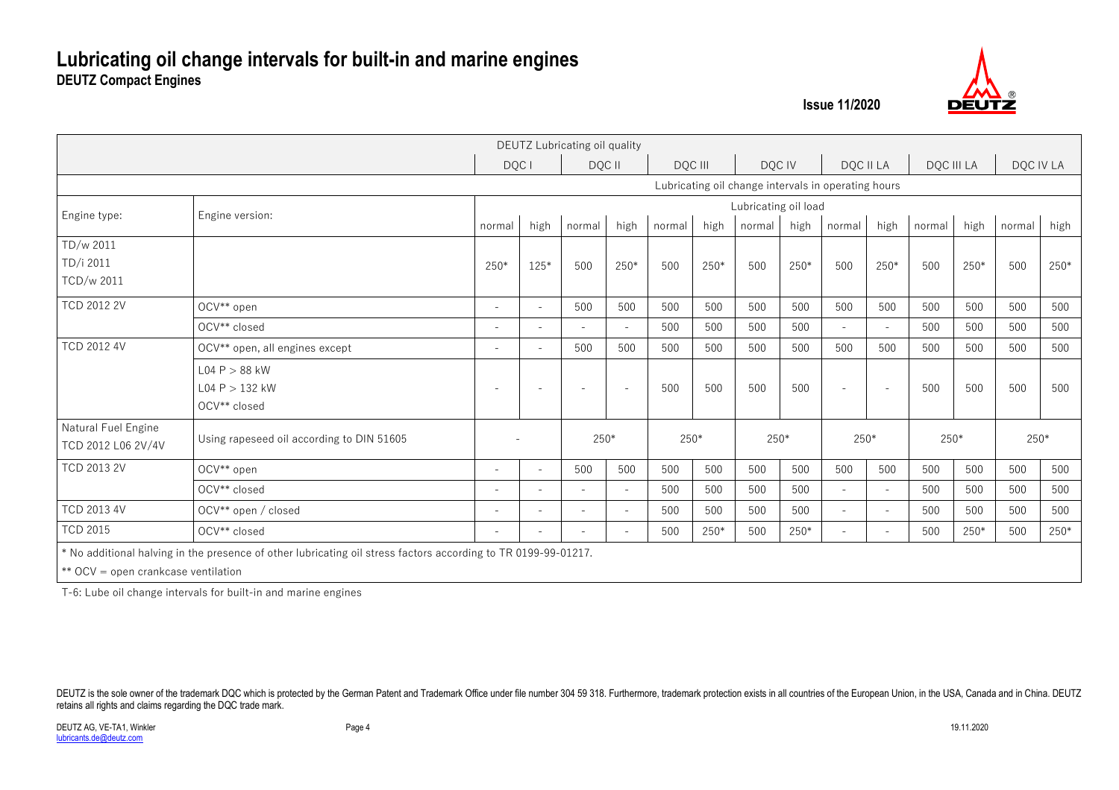

|                                           |                                                                                                                |                          |                          | DEUTZ Lubricating oil quality |                          |        |         |                                                     |        |                          |                          |        |            |           |      |
|-------------------------------------------|----------------------------------------------------------------------------------------------------------------|--------------------------|--------------------------|-------------------------------|--------------------------|--------|---------|-----------------------------------------------------|--------|--------------------------|--------------------------|--------|------------|-----------|------|
|                                           |                                                                                                                |                          | DQC I                    | DQC II                        |                          |        | DQC III |                                                     | DQC IV |                          | DQC II LA                |        | DQC III LA | DQC IV LA |      |
|                                           |                                                                                                                |                          |                          |                               |                          |        |         | Lubricating oil change intervals in operating hours |        |                          |                          |        |            |           |      |
| Engine type:                              | Engine version:                                                                                                |                          |                          |                               |                          |        |         | Lubricating oil load                                |        |                          |                          |        |            |           |      |
|                                           |                                                                                                                | normal                   | high                     | normal                        | high                     | normal | high    | normal                                              | high   | normal                   | high                     | normal | high       | normal    | high |
| TD/w 2011                                 |                                                                                                                |                          |                          |                               |                          |        |         |                                                     |        |                          |                          |        |            |           |      |
| TD/i 2011                                 |                                                                                                                | 250*                     | $125*$                   | 500                           | 250*                     | 500    | 250*    | 500                                                 | 250*   | 500                      | 250*                     | 500    | 250*       | 500       | 250* |
| TCD/w 2011                                |                                                                                                                |                          |                          |                               |                          |        |         |                                                     |        |                          |                          |        |            |           |      |
| <b>TCD 2012 2V</b>                        | OCV** open                                                                                                     | $\sim$                   | $\overline{\phantom{a}}$ | 500                           | 500                      | 500    | 500     | 500                                                 | 500    | 500                      | 500                      | 500    | 500        | 500       | 500  |
|                                           | OCV** closed                                                                                                   | $\overline{\phantom{a}}$ |                          |                               |                          | 500    | 500     | 500                                                 | 500    |                          |                          | 500    | 500        | 500       | 500  |
| <b>TCD 2012 4V</b>                        | OCV** open, all engines except                                                                                 | $\overline{\phantom{a}}$ | $\sim$                   | 500                           | 500                      | 500    | 500     | 500                                                 | 500    | 500                      | 500                      | 500    | 500        | 500       | 500  |
|                                           | L04 P > 88 kW                                                                                                  |                          |                          |                               |                          |        |         |                                                     |        |                          |                          |        |            |           |      |
|                                           | L04 P > 132 kW                                                                                                 | $\overline{\phantom{a}}$ | $\overline{\phantom{a}}$ | $\sim$                        | $\overline{\phantom{a}}$ | 500    | 500     | 500                                                 | 500    | $\sim$                   | $\overline{\phantom{a}}$ | 500    | 500        | 500       | 500  |
|                                           | OCV** closed                                                                                                   |                          |                          |                               |                          |        |         |                                                     |        |                          |                          |        |            |           |      |
| Natural Fuel Engine<br>TCD 2012 L06 2V/4V | Using rapeseed oil according to DIN 51605                                                                      |                          |                          | 250*                          |                          | 250*   |         | 250*                                                |        | 250*                     |                          |        | 250*       | $250*$    |      |
| <b>TCD 2013 2V</b>                        | OCV** open                                                                                                     | $\equiv$                 | $\overline{\phantom{a}}$ | 500                           | 500                      | 500    | 500     | 500                                                 | 500    | 500                      | 500                      | 500    | 500        | 500       | 500  |
|                                           | OCV** closed                                                                                                   | $\equiv$                 | $\equiv$                 | $\sim$                        | $\overline{a}$           | 500    | 500     | 500                                                 | 500    | $\sim$                   | $\overline{a}$           | 500    | 500        | 500       | 500  |
| TCD 2013 4V                               | OCV** open / closed                                                                                            | $\overline{\phantom{a}}$ |                          |                               |                          | 500    | 500     | 500                                                 | 500    |                          |                          | 500    | 500        | 500       | 500  |
| <b>TCD 2015</b>                           | OCV** closed                                                                                                   | $\overline{\phantom{a}}$ | $\overline{\phantom{a}}$ |                               |                          | 500    | 250*    | 500                                                 | 250*   | $\overline{\phantom{a}}$ |                          | 500    | 250*       | 500       | 250* |
|                                           | * No additional halving in the presence of other lubricating oil stress factors according to TR 0199-99-01217. |                          |                          |                               |                          |        |         |                                                     |        |                          |                          |        |            |           |      |

\*\* OCV = open crankcase ventilation

T-6: Lube oil change intervals for built-in and marine engines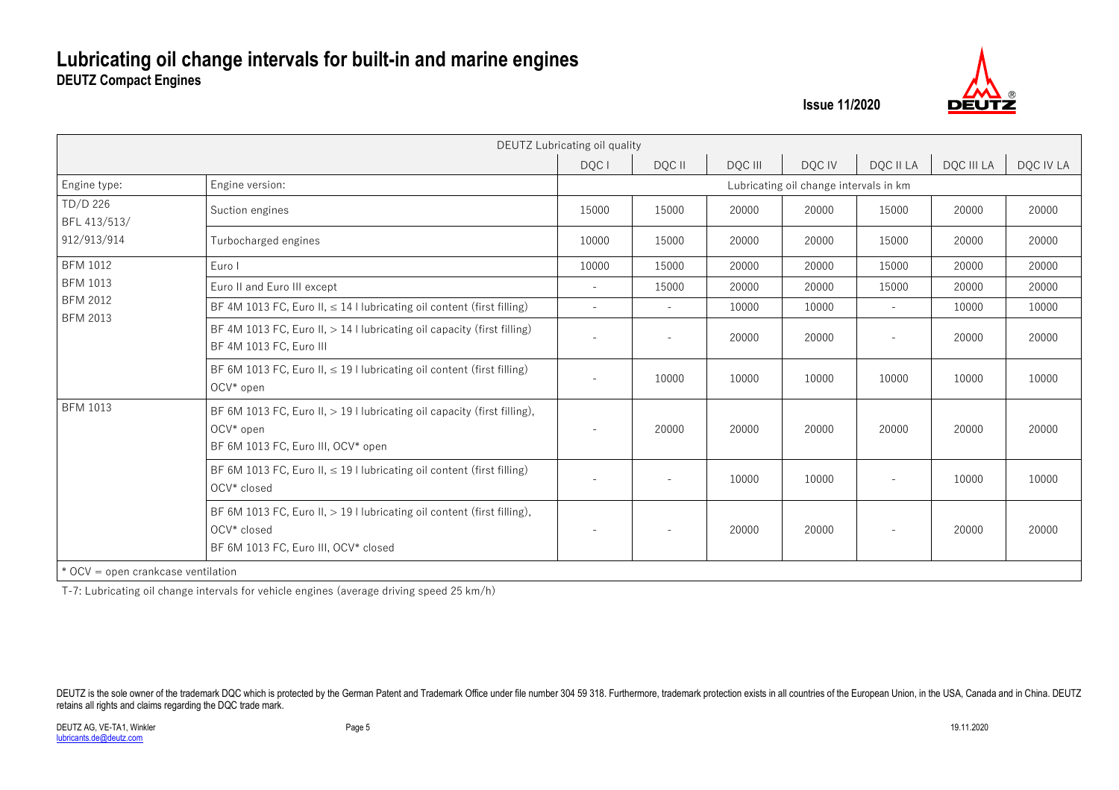

|                                    |                                                                                                                                | DEUTZ Lubricating oil quality |                          |         |                                        |                          |            |           |
|------------------------------------|--------------------------------------------------------------------------------------------------------------------------------|-------------------------------|--------------------------|---------|----------------------------------------|--------------------------|------------|-----------|
|                                    |                                                                                                                                | DQC I                         | DQC II                   | DQC III | DQC IV                                 | DQC II LA                | DQC III LA | DQC IV LA |
| Engine type:                       | Engine version:                                                                                                                |                               |                          |         | Lubricating oil change intervals in km |                          |            |           |
| TD/D 226<br>BFL 413/513/           | Suction engines                                                                                                                | 15000                         | 15000                    | 20000   | 20000                                  | 15000                    | 20000      | 20000     |
| 912/913/914                        | Turbocharged engines                                                                                                           | 10000                         | 15000                    | 20000   | 20000                                  | 15000                    | 20000      | 20000     |
| <b>BFM 1012</b>                    | Euro I                                                                                                                         | 10000                         | 15000                    | 20000   | 20000                                  | 15000                    | 20000      | 20000     |
| <b>BFM 1013</b>                    | Euro II and Euro III except                                                                                                    |                               | 15000                    | 20000   | 20000                                  | 15000                    | 20000      | 20000     |
| <b>BFM 2012</b>                    | BF 4M 1013 FC, Euro II, $\leq$ 14 I lubricating oil content (first filling)                                                    | $\sim$                        | $\sim$                   | 10000   | 10000                                  | $\sim$                   | 10000      | 10000     |
| <b>BFM 2013</b>                    | BF 4M 1013 FC, Euro II, $> 14$ I lubricating oil capacity (first filling)<br>BF 4M 1013 FC, Euro III                           | $\overline{a}$                |                          | 20000   | 20000                                  | $\sim$                   | 20000      | 20000     |
|                                    | BF 6M 1013 FC, Euro II, $\leq$ 19 I lubricating oil content (first filling)<br>OCV* open                                       | $\equiv$                      | 10000                    | 10000   | 10000                                  | 10000                    | 10000      | 10000     |
| <b>BFM 1013</b>                    | BF 6M 1013 FC, Euro II, > 19   lubricating oil capacity (first filling),<br>OCV* open<br>BF 6M 1013 FC, Euro III, OCV* open    | $\overline{\phantom{a}}$      | 20000                    | 20000   | 20000                                  | 20000                    | 20000      | 20000     |
|                                    | BF 6M 1013 FC, Euro II, $\leq$ 19   lubricating oil content (first filling)<br>OCV* closed                                     | $\overline{\phantom{a}}$      |                          | 10000   | 10000                                  |                          | 10000      | 10000     |
|                                    | BF 6M 1013 FC, Euro II, > 19 I lubricating oil content (first filling),<br>OCV* closed<br>BF 6M 1013 FC, Euro III, OCV* closed | $\overline{\phantom{a}}$      | $\overline{\phantom{a}}$ | 20000   | 20000                                  | $\overline{\phantom{a}}$ | 20000      | 20000     |
| * OCV = open crankcase ventilation |                                                                                                                                |                               |                          |         |                                        |                          |            |           |

T-7: Lubricating oil change intervals for vehicle engines (average driving speed 25 km/h)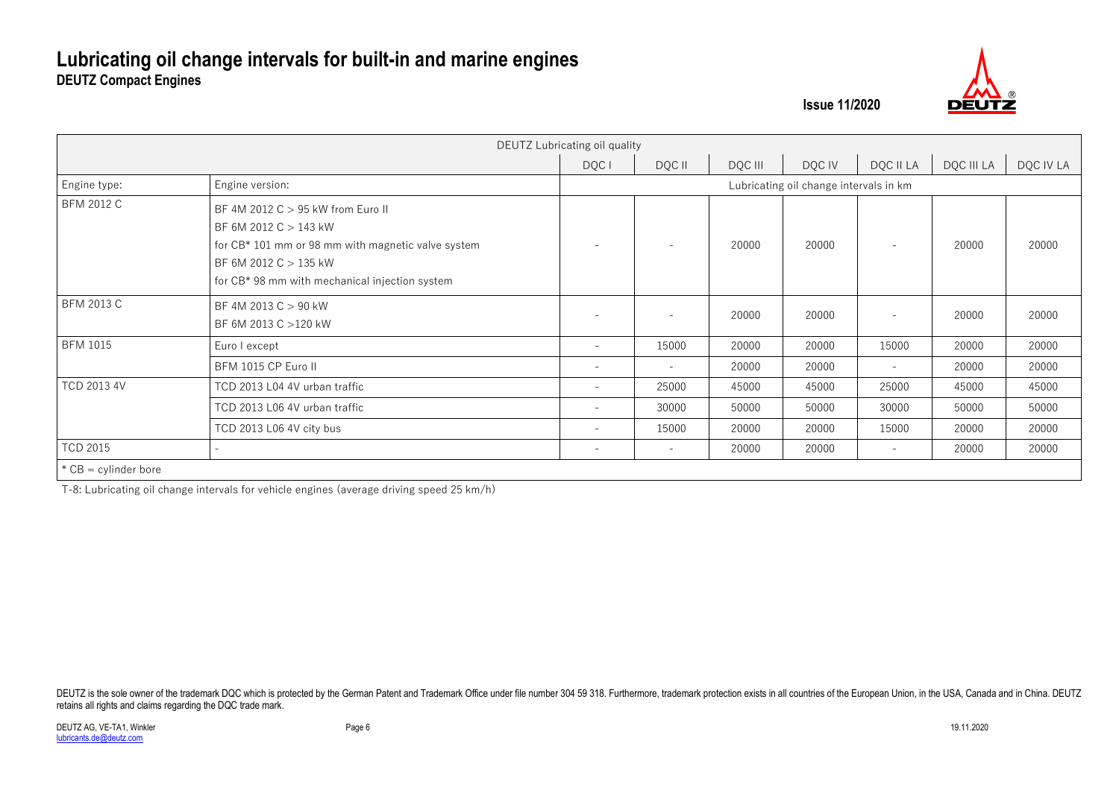

|                        |                                                                                                                                                                                             | DEUTZ Lubricating oil quality |                                        |         |        |                          |            |           |  |  |  |  |  |  |
|------------------------|---------------------------------------------------------------------------------------------------------------------------------------------------------------------------------------------|-------------------------------|----------------------------------------|---------|--------|--------------------------|------------|-----------|--|--|--|--|--|--|
|                        |                                                                                                                                                                                             | DQC I                         | DQC II                                 | DQC III | DQC IV | DQC II LA                | DQC III LA | DQC IV LA |  |  |  |  |  |  |
| Engine type:           | Engine version:                                                                                                                                                                             |                               | Lubricating oil change intervals in km |         |        |                          |            |           |  |  |  |  |  |  |
| <b>BFM 2012 C</b>      | BF 4M 2012 C > 95 kW from Euro II<br>BF 6M 2012 C > 143 kW<br>for CB* 101 mm or 98 mm with magnetic valve system<br>BF 6M 2012 C > 135 kW<br>for CB* 98 mm with mechanical injection system |                               |                                        | 20000   | 20000  |                          | 20000      | 20000     |  |  |  |  |  |  |
| <b>BFM 2013 C</b>      | BF 4M 2013 C > 90 kW<br>BF 6M 2013 C >120 kW                                                                                                                                                |                               |                                        | 20000   | 20000  |                          | 20000      | 20000     |  |  |  |  |  |  |
| <b>BFM 1015</b>        | Euro I except                                                                                                                                                                               | $\overline{\phantom{a}}$      | 15000                                  | 20000   | 20000  | 15000                    | 20000      | 20000     |  |  |  |  |  |  |
|                        | BFM 1015 CP Euro II                                                                                                                                                                         | $\overline{\phantom{a}}$      | $\overline{\phantom{a}}$               | 20000   | 20000  | $\overline{\phantom{a}}$ | 20000      | 20000     |  |  |  |  |  |  |
| <b>TCD 2013 4V</b>     | TCD 2013 L04 4V urban traffic                                                                                                                                                               | $\overline{\phantom{0}}$      | 25000                                  | 45000   | 45000  | 25000                    | 45000      | 45000     |  |  |  |  |  |  |
|                        | TCD 2013 L06 4V urban traffic                                                                                                                                                               | $\qquad \qquad -$             | 30000                                  | 50000   | 50000  | 30000                    | 50000      | 50000     |  |  |  |  |  |  |
|                        | TCD 2013 L06 4V city bus                                                                                                                                                                    | $\overline{\phantom{a}}$      | 15000                                  | 20000   | 20000  | 15000                    | 20000      | 20000     |  |  |  |  |  |  |
| <b>TCD 2015</b>        | $\equiv$                                                                                                                                                                                    | $\qquad \qquad -$             | $\overline{\phantom{a}}$               | 20000   | 20000  | $\sim$                   | 20000      | 20000     |  |  |  |  |  |  |
| $*$ CB = cylinder bore |                                                                                                                                                                                             |                               |                                        |         |        |                          |            |           |  |  |  |  |  |  |

T-8: Lubricating oil change intervals for vehicle engines (average driving speed 25 km/h)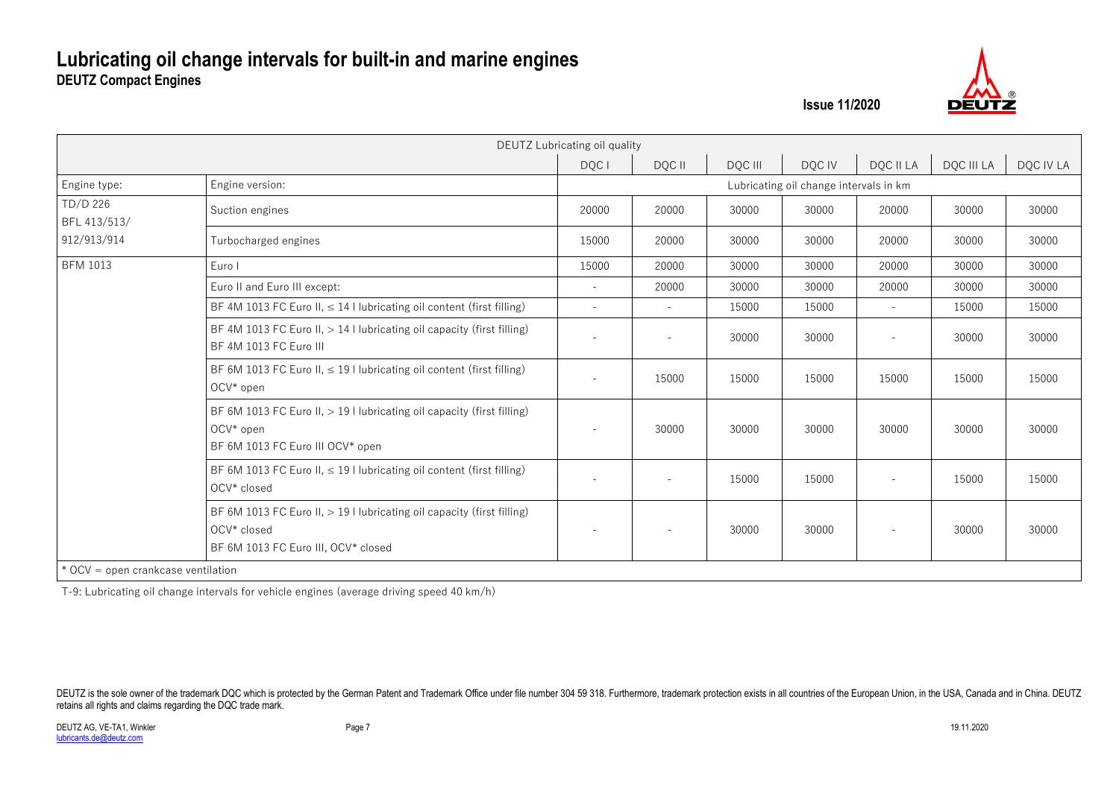

|                                    |                                                                                                                                | DEUTZ Lubricating oil quality |        |         |                                        |                          |            |           |
|------------------------------------|--------------------------------------------------------------------------------------------------------------------------------|-------------------------------|--------|---------|----------------------------------------|--------------------------|------------|-----------|
|                                    |                                                                                                                                | DQC I                         | DQC II | DQC III | DQC IV                                 | DQC II LA                | DQC III LA | DQC IV LA |
| Engine type:                       | Engine version:                                                                                                                |                               |        |         | Lubricating oil change intervals in km |                          |            |           |
| TD/D 226<br>BFL 413/513/           | Suction engines                                                                                                                | 20000                         | 20000  | 30000   | 30000                                  | 20000                    | 30000      | 30000     |
| 912/913/914                        | Turbocharged engines                                                                                                           | 15000                         | 20000  | 30000   | 30000                                  | 20000                    | 30000      | 30000     |
| <b>BFM 1013</b>                    | Euro I                                                                                                                         | 15000                         | 20000  | 30000   | 30000                                  | 20000                    | 30000      | 30000     |
|                                    | Euro II and Euro III except:                                                                                                   | $\equiv$                      | 20000  | 30000   | 30000                                  | 20000                    | 30000      | 30000     |
|                                    | BF 4M 1013 FC Euro II, $\leq$ 14 I lubricating oil content (first filling)                                                     | $\blacksquare$                | $\sim$ | 15000   | 15000                                  | $\overline{\phantom{a}}$ | 15000      | 15000     |
|                                    | BF 4M 1013 FC Euro II, $> 14$ I lubricating oil capacity (first filling)<br>BF 4M 1013 FC Euro III                             | $\equiv$                      |        | 30000   | 30000                                  |                          | 30000      | 30000     |
|                                    | BF 6M 1013 FC Euro II, $\leq$ 19 I lubricating oil content (first filling)<br>OCV* open                                        | $\equiv$                      | 15000  | 15000   | 15000                                  | 15000                    | 15000      | 15000     |
|                                    | BF 6M 1013 FC Euro II, $>$ 19 I lubricating oil capacity (first filling)<br>OCV* open<br>BF 6M 1013 FC Euro III OCV* open      | $\overline{\phantom{a}}$      | 30000  | 30000   | 30000                                  | 30000                    | 30000      | 30000     |
|                                    | BF 6M 1013 FC Euro II, $\leq$ 19 I lubricating oil content (first filling)<br>OCV* closed                                      | $\equiv$                      |        | 15000   | 15000                                  | $\overline{\phantom{a}}$ | 15000      | 15000     |
|                                    | BF 6M 1013 FC Euro II, $> 19$ I lubricating oil capacity (first filling)<br>OCV* closed<br>BF 6M 1013 FC Euro III, OCV* closed | $\overline{\phantom{a}}$      |        | 30000   | 30000                                  | $\overline{\phantom{a}}$ | 30000      | 30000     |
| * OCV = open crankcase ventilation |                                                                                                                                |                               |        |         |                                        |                          |            |           |

T-9: Lubricating oil change intervals for vehicle engines (average driving speed 40 km/h)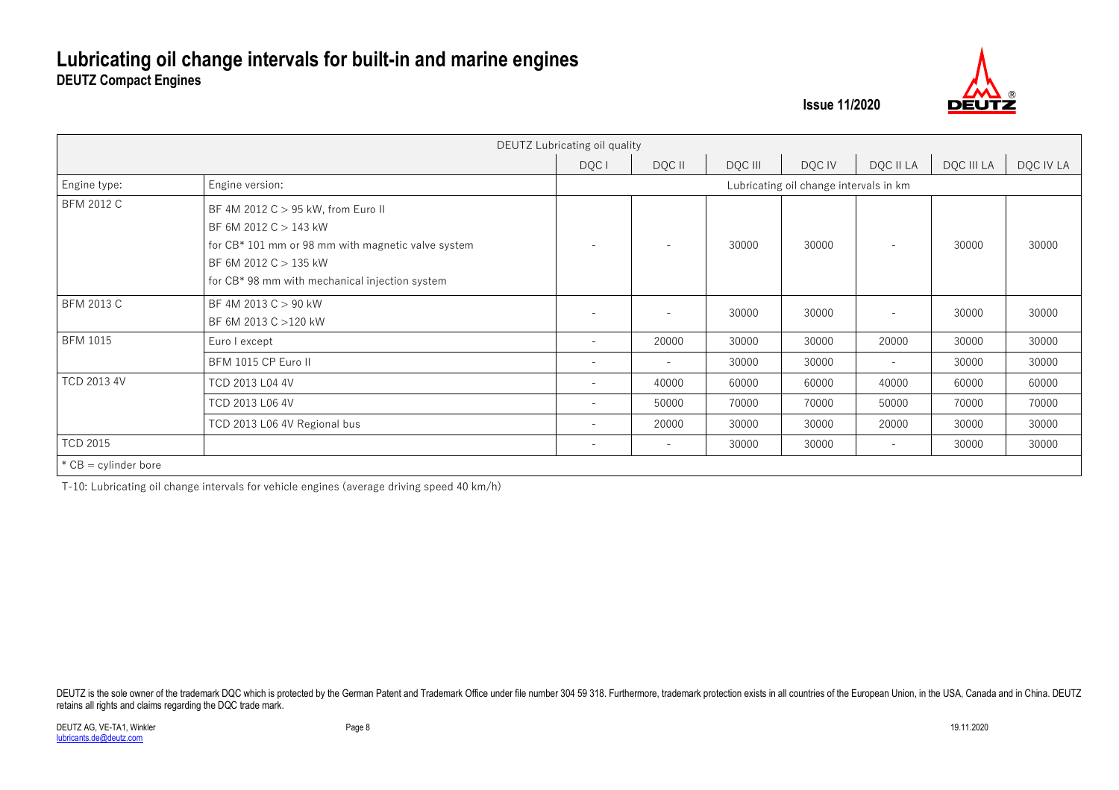

|                        |                                                                                                                                                                                                  | DEUTZ Lubricating oil quality |                          |         |                                        |                          |            |           |
|------------------------|--------------------------------------------------------------------------------------------------------------------------------------------------------------------------------------------------|-------------------------------|--------------------------|---------|----------------------------------------|--------------------------|------------|-----------|
|                        |                                                                                                                                                                                                  | DQC I                         | DQC II                   | DQC III | DQC IV                                 | DQC II LA                | DQC III LA | DQC IV LA |
| Engine type:           | Engine version:                                                                                                                                                                                  |                               |                          |         | Lubricating oil change intervals in km |                          |            |           |
| <b>BFM 2012 C</b>      | BF 4M 2012 C > 95 kW, from Euro II<br>BF 6M 2012 C $>$ 143 kW<br>for CB* 101 mm or 98 mm with magnetic valve system<br>BF 6M 2012 $C > 135$ kW<br>for CB* 98 mm with mechanical injection system | $\overline{\phantom{a}}$      |                          | 30000   | 30000                                  | $\overline{\phantom{a}}$ | 30000      | 30000     |
| <b>BFM 2013 C</b>      | BF 4M 2013 $C > 90$ kW<br>BF 6M 2013 C > 120 kW                                                                                                                                                  |                               |                          | 30000   | 30000                                  | ۰                        | 30000      | 30000     |
| <b>BFM 1015</b>        | Euro I except                                                                                                                                                                                    | $\overline{\phantom{a}}$      | 20000                    | 30000   | 30000                                  | 20000                    | 30000      | 30000     |
|                        | BFM 1015 CP Euro II                                                                                                                                                                              | $\overline{\phantom{a}}$      | $\overline{\phantom{0}}$ | 30000   | 30000                                  | $\overline{\phantom{a}}$ | 30000      | 30000     |
| <b>TCD 2013 4V</b>     | TCD 2013 L04 4V                                                                                                                                                                                  | $\overline{\phantom{m}}$      | 40000                    | 60000   | 60000                                  | 40000                    | 60000      | 60000     |
|                        | TCD 2013 L06 4V                                                                                                                                                                                  | $\overline{\phantom{a}}$      | 50000                    | 70000   | 70000                                  | 50000                    | 70000      | 70000     |
|                        | TCD 2013 L06 4V Regional bus                                                                                                                                                                     | $\overline{\phantom{0}}$      | 20000                    | 30000   | 30000                                  | 20000                    | 30000      | 30000     |
| <b>TCD 2015</b>        |                                                                                                                                                                                                  | $\overline{\phantom{m}}$      |                          | 30000   | 30000                                  | $\overline{\phantom{a}}$ | 30000      | 30000     |
| $*$ CB = cylinder bore |                                                                                                                                                                                                  |                               |                          |         |                                        |                          |            |           |

T-10: Lubricating oil change intervals for vehicle engines (average driving speed 40 km/h)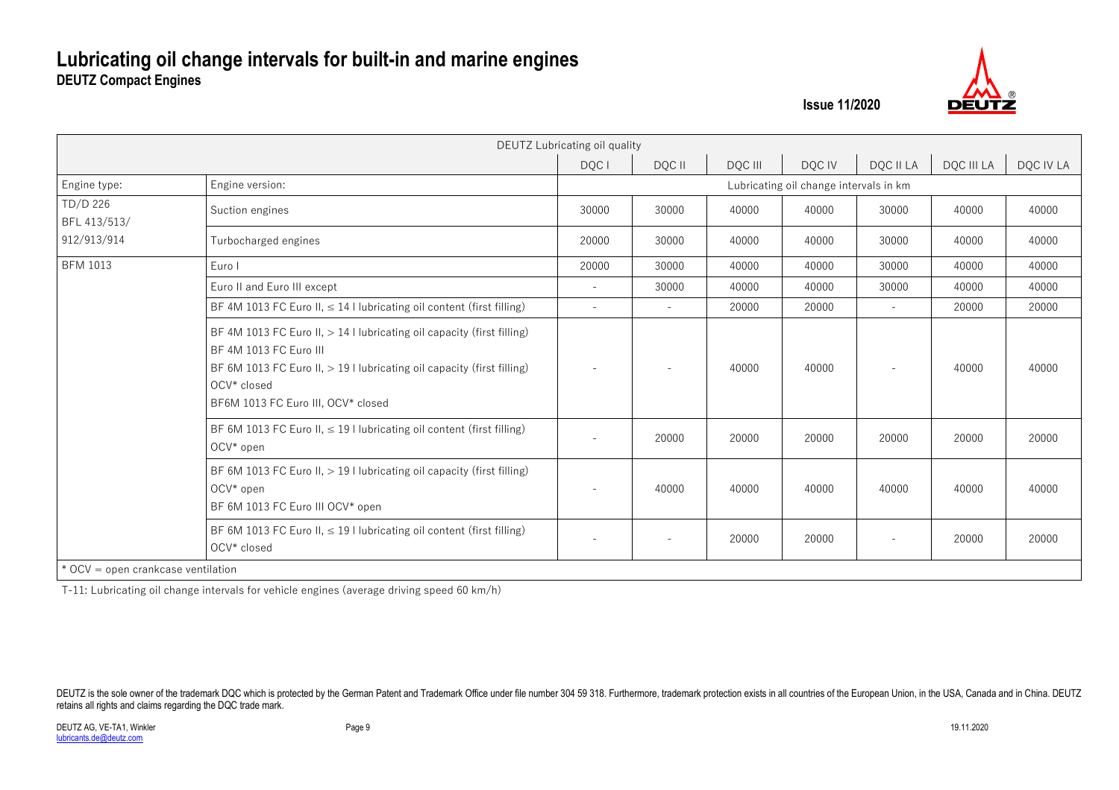

|                                    |                                                                                                                                                                                                                                   | DEUTZ Lubricating oil quality |        |         |                                        |                          |            |           |
|------------------------------------|-----------------------------------------------------------------------------------------------------------------------------------------------------------------------------------------------------------------------------------|-------------------------------|--------|---------|----------------------------------------|--------------------------|------------|-----------|
|                                    |                                                                                                                                                                                                                                   | DQC I                         | DQC II | DQC III | DQC IV                                 | DQC II LA                | DQC III LA | DQC IV LA |
| Engine type:                       | Engine version:                                                                                                                                                                                                                   |                               |        |         | Lubricating oil change intervals in km |                          |            |           |
| TD/D 226<br>BFL 413/513/           | Suction engines                                                                                                                                                                                                                   | 30000                         | 30000  | 40000   | 40000                                  | 30000                    | 40000      | 40000     |
| 912/913/914                        | Turbocharged engines                                                                                                                                                                                                              | 20000                         | 30000  | 40000   | 40000                                  | 30000                    | 40000      | 40000     |
| <b>BFM 1013</b>                    | Euro I                                                                                                                                                                                                                            | 20000                         | 30000  | 40000   | 40000                                  | 30000                    | 40000      | 40000     |
|                                    | Euro II and Euro III except                                                                                                                                                                                                       | $\equiv$                      | 30000  | 40000   | 40000                                  | 30000                    | 40000      | 40000     |
|                                    | BF 4M 1013 FC Euro II, $\leq$ 14 I lubricating oil content (first filling)                                                                                                                                                        | $\overline{a}$                | $\sim$ | 20000   | 20000                                  | $\sim$                   | 20000      | 20000     |
|                                    | BF 4M 1013 FC Euro II, $> 14$ I lubricating oil capacity (first filling)<br>BF 4M 1013 FC Euro III<br>BF 6M 1013 FC Euro II, > 19 I lubricating oil capacity (first filling)<br>OCV* closed<br>BF6M 1013 FC Euro III, OCV* closed |                               |        | 40000   | 40000                                  |                          | 40000      | 40000     |
|                                    | BF 6M 1013 FC Euro II, $\leq$ 19 I lubricating oil content (first filling)<br>OCV* open                                                                                                                                           | $\sim$                        | 20000  | 20000   | 20000                                  | 20000                    | 20000      | 20000     |
|                                    | BF 6M 1013 FC Euro II, $>$ 19 I lubricating oil capacity (first filling)<br>OCV* open<br>BF 6M 1013 FC Euro III OCV* open                                                                                                         | $\overline{\phantom{m}}$      | 40000  | 40000   | 40000                                  | 40000                    | 40000      | 40000     |
|                                    | BF 6M 1013 FC Euro II, $\leq$ 19 I lubricating oil content (first filling)<br>OCV* closed                                                                                                                                         | $\overline{\phantom{a}}$      |        | 20000   | 20000                                  | $\overline{\phantom{a}}$ | 20000      | 20000     |
| * OCV = open crankcase ventilation |                                                                                                                                                                                                                                   |                               |        |         |                                        |                          |            |           |

T-11: Lubricating oil change intervals for vehicle engines (average driving speed 60 km/h)